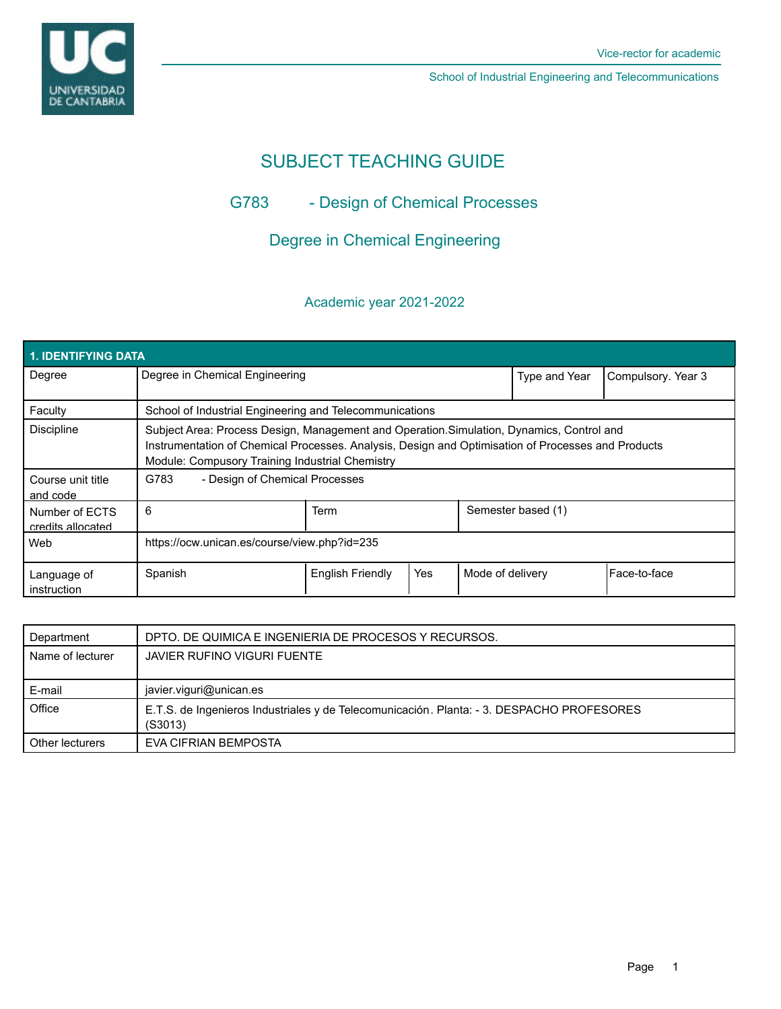UNIVERSIDAD<br>DE CANTABRIA

School of Industrial Engineering and Telecommunications

# SUBJECT TEACHING GUIDE

## G783 - Design of Chemical Processes

## Degree in Chemical Engineering

## Academic year 2021-2022

| <b>1. IDENTIFYING DATA</b>          |                                                                                                                                                                                                                                                    |                         |     |                    |               |                    |  |  |  |  |
|-------------------------------------|----------------------------------------------------------------------------------------------------------------------------------------------------------------------------------------------------------------------------------------------------|-------------------------|-----|--------------------|---------------|--------------------|--|--|--|--|
| Degree                              | Degree in Chemical Engineering                                                                                                                                                                                                                     |                         |     |                    | Type and Year | Compulsory. Year 3 |  |  |  |  |
| Faculty                             | School of Industrial Engineering and Telecommunications                                                                                                                                                                                            |                         |     |                    |               |                    |  |  |  |  |
| <b>Discipline</b>                   | Subject Area: Process Design, Management and Operation. Simulation, Dynamics, Control and<br>Instrumentation of Chemical Processes. Analysis, Design and Optimisation of Processes and Products<br>Module: Compusory Training Industrial Chemistry |                         |     |                    |               |                    |  |  |  |  |
| Course unit title<br>and code       | G783<br>- Design of Chemical Processes                                                                                                                                                                                                             |                         |     |                    |               |                    |  |  |  |  |
| Number of ECTS<br>credits allocated | 6                                                                                                                                                                                                                                                  | Term                    |     | Semester based (1) |               |                    |  |  |  |  |
| Web                                 | https://ocw.unican.es/course/view.php?id=235                                                                                                                                                                                                       |                         |     |                    |               |                    |  |  |  |  |
| Language of<br>instruction          | Spanish                                                                                                                                                                                                                                            | <b>English Friendly</b> | Yes | Mode of delivery   |               | Face-to-face       |  |  |  |  |

| Department       | DPTO. DE QUIMICA E INGENIERIA DE PROCESOS Y RECURSOS.                                                |  |  |
|------------------|------------------------------------------------------------------------------------------------------|--|--|
| Name of lecturer | <b>JAVIER RUFINO VIGURI FUENTE</b>                                                                   |  |  |
|                  |                                                                                                      |  |  |
| E-mail           | javier.viguri@unican.es                                                                              |  |  |
| Office           | E.T.S. de Ingenieros Industriales y de Telecomunicación. Planta: - 3. DESPACHO PROFESORES<br>(S3013) |  |  |
| Other lecturers  | EVA CIFRIAN BEMPOSTA                                                                                 |  |  |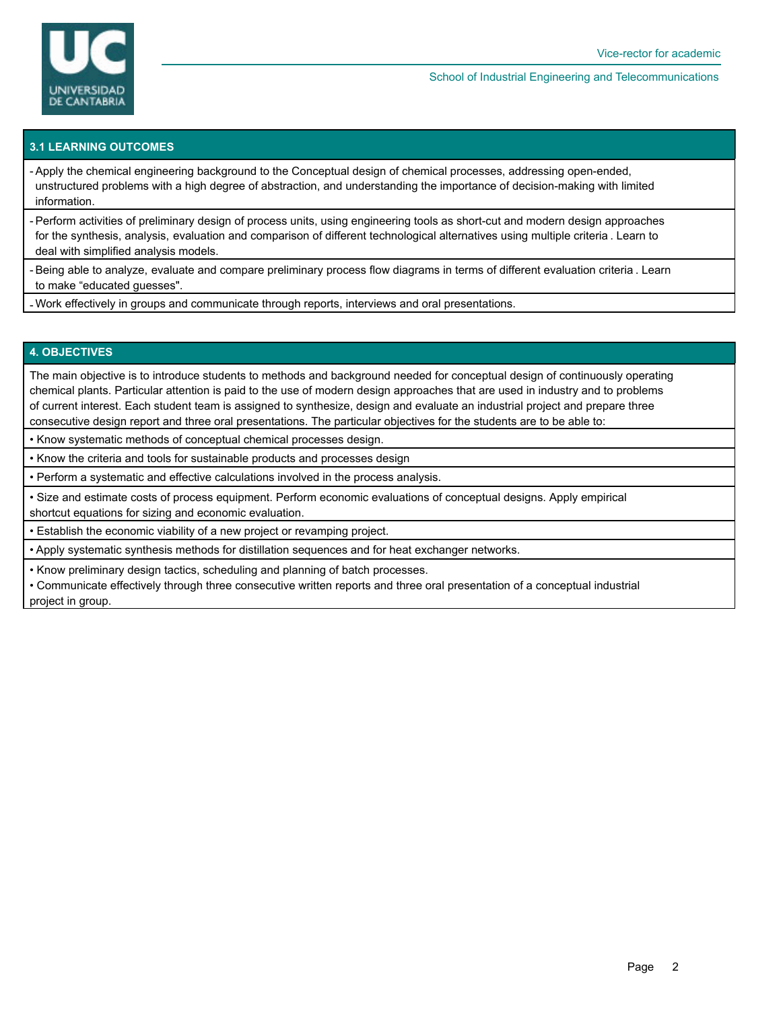

#### School of Industrial Engineering and Telecommunications

## **3.1 LEARNING OUTCOMES**

- Apply the chemical engineering background to the Conceptual design of chemical processes, addressing open-ended, unstructured problems with a high degree of abstraction, and understanding the importance of decision-making with limited information.

- Perform activities of preliminary design of process units, using engineering tools as short-cut and modern design approaches for the synthesis, analysis, evaluation and comparison of different technological alternatives using multiple criteria . Learn to deal with simplified analysis models.

- Being able to analyze, evaluate and compare preliminary process flow diagrams in terms of different evaluation criteria . Learn to make "educated guesses".

- Work effectively in groups and communicate through reports, interviews and oral presentations.

## **4. OBJECTIVES**

The main objective is to introduce students to methods and background needed for conceptual design of continuously operating chemical plants. Particular attention is paid to the use of modern design approaches that are used in industry and to problems of current interest. Each student team is assigned to synthesize, design and evaluate an industrial project and prepare three consecutive design report and three oral presentations. The particular objectives for the students are to be able to:

• Know systematic methods of conceptual chemical processes design.

• Know the criteria and tools for sustainable products and processes design

• Perform a systematic and effective calculations involved in the process analysis.

• Size and estimate costs of process equipment. Perform economic evaluations of conceptual designs. Apply empirical shortcut equations for sizing and economic evaluation.

• Establish the economic viability of a new project or revamping project.

• Apply systematic synthesis methods for distillation sequences and for heat exchanger networks.

• Know preliminary design tactics, scheduling and planning of batch processes.

• Communicate effectively through three consecutive written reports and three oral presentation of a conceptual industrial project in group.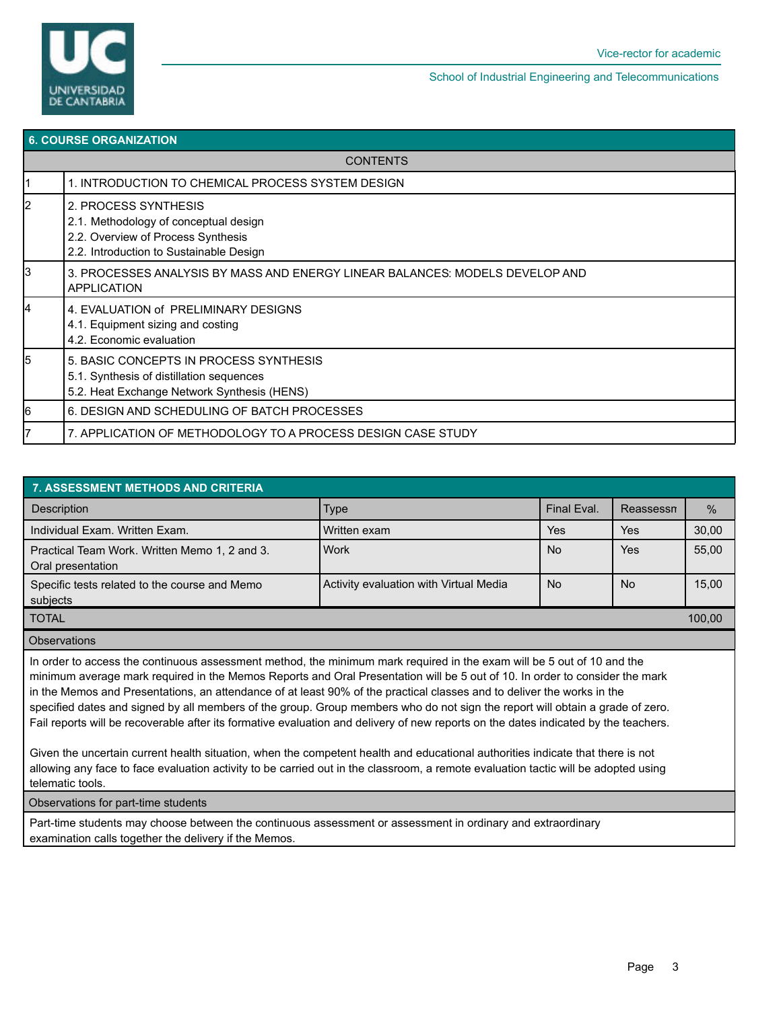

School of Industrial Engineering and Telecommunications

| <b>6. COURSE ORGANIZATION</b> |                                                                                                                                                |  |  |  |  |
|-------------------------------|------------------------------------------------------------------------------------------------------------------------------------------------|--|--|--|--|
| <b>CONTENTS</b>               |                                                                                                                                                |  |  |  |  |
|                               | 1. INTRODUCTION TO CHEMICAL PROCESS SYSTEM DESIGN                                                                                              |  |  |  |  |
| $\overline{2}$                | 2. PROCESS SYNTHESIS<br>2.1. Methodology of conceptual design<br>2.2. Overview of Process Synthesis<br>2.2. Introduction to Sustainable Design |  |  |  |  |
| 3                             | 3. PROCESSES ANALYSIS BY MASS AND ENERGY LINEAR BALANCES: MODELS DEVELOP AND<br><b>APPLICATION</b>                                             |  |  |  |  |
| 4                             | 4. EVALUATION of PRELIMINARY DESIGNS<br>4.1. Equipment sizing and costing<br>4.2. Economic evaluation                                          |  |  |  |  |
| 5                             | 5. BASIC CONCEPTS IN PROCESS SYNTHESIS<br>5.1. Synthesis of distillation sequences<br>5.2. Heat Exchange Network Synthesis (HENS)              |  |  |  |  |
| 6                             | 6. DESIGN AND SCHEDULING OF BATCH PROCESSES                                                                                                    |  |  |  |  |
| 7                             | 7. APPLICATION OF METHODOLOGY TO A PROCESS DESIGN CASE STUDY                                                                                   |  |  |  |  |
|                               |                                                                                                                                                |  |  |  |  |

| 7. ASSESSMENT METHODS AND CRITERIA                                 |                                        |             |           |               |  |  |  |  |  |
|--------------------------------------------------------------------|----------------------------------------|-------------|-----------|---------------|--|--|--|--|--|
| Description                                                        | <b>Type</b>                            | Final Eval. | Reassessn | $\frac{0}{0}$ |  |  |  |  |  |
| Individual Exam. Written Exam.                                     | l Written exam                         | <b>Yes</b>  | Yes       | 30,00         |  |  |  |  |  |
| Practical Team Work. Written Memo 1, 2 and 3.<br>Oral presentation | <b>Nork</b>                            | <b>No</b>   | Yes       | 55,00         |  |  |  |  |  |
| Specific tests related to the course and Memo<br>subjects          | Activity evaluation with Virtual Media | <b>No</b>   | No        | 15,00         |  |  |  |  |  |
| <b>TOTAL</b>                                                       |                                        |             |           |               |  |  |  |  |  |

#### **Observations**

In order to access the continuous assessment method, the minimum mark required in the exam will be 5 out of 10 and the minimum average mark required in the Memos Reports and Oral Presentation will be 5 out of 10. In order to consider the mark in the Memos and Presentations, an attendance of at least 90% of the practical classes and to deliver the works in the specified dates and signed by all members of the group. Group members who do not sign the report will obtain a grade of zero. Fail reports will be recoverable after its formative evaluation and delivery of new reports on the dates indicated by the teachers.

Given the uncertain current health situation, when the competent health and educational authorities indicate that there is not allowing any face to face evaluation activity to be carried out in the classroom, a remote evaluation tactic will be adopted using telematic tools.

#### Observations for part-time students

Part-time students may choose between the continuous assessment or assessment in ordinary and extraordinary examination calls together the delivery if the Memos.